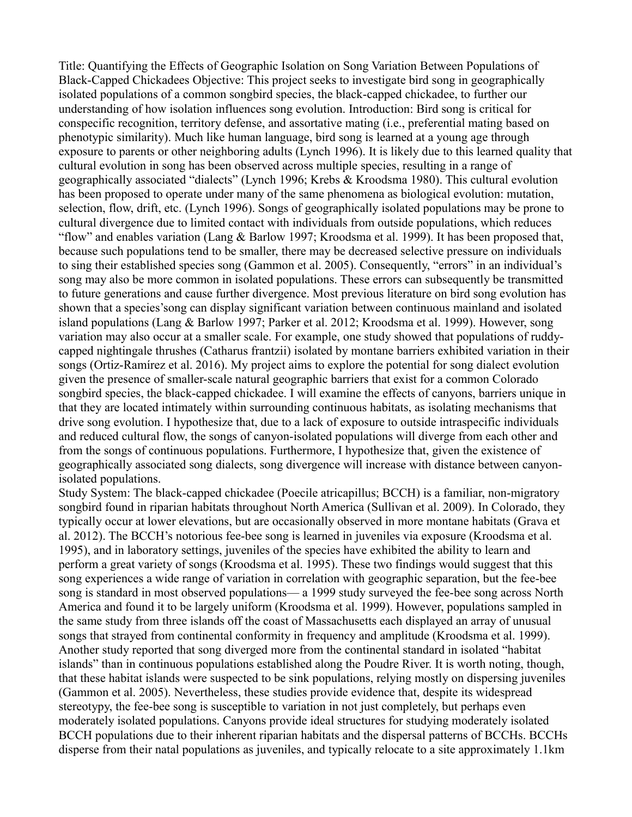Title: Quantifying the Effects of Geographic Isolation on Song Variation Between Populations of Black-Capped Chickadees Objective: This project seeks to investigate bird song in geographically isolated populations of a common songbird species, the black-capped chickadee, to further our understanding of how isolation influences song evolution. Introduction: Bird song is critical for conspecific recognition, territory defense, and assortative mating (i.e., preferential mating based on phenotypic similarity). Much like human language, bird song is learned at a young age through exposure to parents or other neighboring adults (Lynch 1996). It is likely due to this learned quality that cultural evolution in song has been observed across multiple species, resulting in a range of geographically associated "dialects" (Lynch 1996; Krebs & Kroodsma 1980). This cultural evolution has been proposed to operate under many of the same phenomena as biological evolution: mutation, selection, flow, drift, etc. (Lynch 1996). Songs of geographically isolated populations may be prone to cultural divergence due to limited contact with individuals from outside populations, which reduces "flow" and enables variation (Lang & Barlow 1997; Kroodsma et al. 1999). It has been proposed that, because such populations tend to be smaller, there may be decreased selective pressure on individuals to sing their established species song (Gammon et al. 2005). Consequently, "errors" in an individual's song may also be more common in isolated populations. These errors can subsequently be transmitted to future generations and cause further divergence. Most previous literature on bird song evolution has shown that a species'song can display significant variation between continuous mainland and isolated island populations (Lang & Barlow 1997; Parker et al. 2012; Kroodsma et al. 1999). However, song variation may also occur at a smaller scale. For example, one study showed that populations of ruddycapped nightingale thrushes (Catharus frantzii) isolated by montane barriers exhibited variation in their songs (Ortiz-Ramírez et al. 2016). My project aims to explore the potential for song dialect evolution given the presence of smaller-scale natural geographic barriers that exist for a common Colorado songbird species, the black-capped chickadee. I will examine the effects of canyons, barriers unique in that they are located intimately within surrounding continuous habitats, as isolating mechanisms that drive song evolution. I hypothesize that, due to a lack of exposure to outside intraspecific individuals and reduced cultural flow, the songs of canyon-isolated populations will diverge from each other and from the songs of continuous populations. Furthermore, I hypothesize that, given the existence of geographically associated song dialects, song divergence will increase with distance between canyonisolated populations.

Study System: The black-capped chickadee (Poecile atricapillus; BCCH) is a familiar, non-migratory songbird found in riparian habitats throughout North America (Sullivan et al. 2009). In Colorado, they typically occur at lower elevations, but are occasionally observed in more montane habitats (Grava et al. 2012). The BCCH's notorious fee-bee song is learned in juveniles via exposure (Kroodsma et al. 1995), and in laboratory settings, juveniles of the species have exhibited the ability to learn and perform a great variety of songs (Kroodsma et al. 1995). These two findings would suggest that this song experiences a wide range of variation in correlation with geographic separation, but the fee-bee song is standard in most observed populations— a 1999 study surveyed the fee-bee song across North America and found it to be largely uniform (Kroodsma et al. 1999). However, populations sampled in the same study from three islands off the coast of Massachusetts each displayed an array of unusual songs that strayed from continental conformity in frequency and amplitude (Kroodsma et al. 1999). Another study reported that song diverged more from the continental standard in isolated "habitat islands" than in continuous populations established along the Poudre River. It is worth noting, though, that these habitat islands were suspected to be sink populations, relying mostly on dispersing juveniles (Gammon et al. 2005). Nevertheless, these studies provide evidence that, despite its widespread stereotypy, the fee-bee song is susceptible to variation in not just completely, but perhaps even moderately isolated populations. Canyons provide ideal structures for studying moderately isolated BCCH populations due to their inherent riparian habitats and the dispersal patterns of BCCHs. BCCHs disperse from their natal populations as juveniles, and typically relocate to a site approximately 1.1km